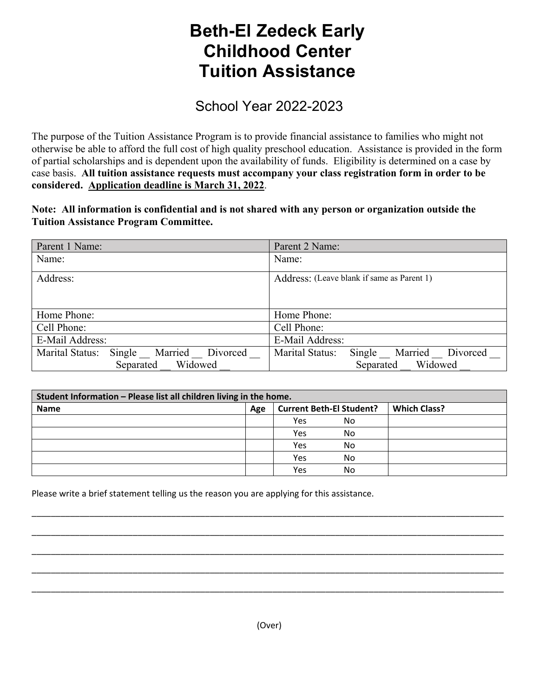## **Beth-El Zedeck Early Childhood Center Tuition Assistance**

School Year 2022-2023

The purpose of the Tuition Assistance Program is to provide financial assistance to families who might not otherwise be able to afford the full cost of high quality preschool education. Assistance is provided in the form of partial scholarships and is dependent upon the availability of funds. Eligibility is determined on a case by case basis. **All tuition assistance requests must accompany your class registration form in order to be considered. Application deadline is March 31, 2022**.

**Note: All information is confidential and is not shared with any person or organization outside the Tuition Assistance Program Committee.**

| Parent 1 Name:                             | Parent 2 Name:                             |
|--------------------------------------------|--------------------------------------------|
| Name:                                      | Name:                                      |
| Address:                                   | Address: (Leave blank if same as Parent 1) |
|                                            |                                            |
| Home Phone:                                | Home Phone:                                |
| Cell Phone:                                | Cell Phone:                                |
| E-Mail Address:                            | E-Mail Address:                            |
| Single Married Divorced<br>Marital Status: | Marital Status:<br>Single Married Divorced |
| Widowed<br>Separated                       | Widowed<br>Separated                       |

| Student Information - Please list all children living in the home. |     |                                 |    |                     |  |
|--------------------------------------------------------------------|-----|---------------------------------|----|---------------------|--|
| <b>Name</b>                                                        | Age | <b>Current Beth-El Student?</b> |    | <b>Which Class?</b> |  |
|                                                                    |     | Yes                             | No |                     |  |
|                                                                    |     | Yes                             | No |                     |  |
|                                                                    |     | Yes                             | No |                     |  |
|                                                                    |     | Yes                             | No |                     |  |
|                                                                    |     | Yes                             | No |                     |  |

\_\_\_\_\_\_\_\_\_\_\_\_\_\_\_\_\_\_\_\_\_\_\_\_\_\_\_\_\_\_\_\_\_\_\_\_\_\_\_\_\_\_\_\_\_\_\_\_\_\_\_\_\_\_\_\_\_\_\_\_\_\_\_\_\_\_\_\_\_\_\_\_\_\_\_\_\_\_\_\_\_\_\_\_\_\_\_\_\_\_\_\_\_\_\_\_\_\_

\_\_\_\_\_\_\_\_\_\_\_\_\_\_\_\_\_\_\_\_\_\_\_\_\_\_\_\_\_\_\_\_\_\_\_\_\_\_\_\_\_\_\_\_\_\_\_\_\_\_\_\_\_\_\_\_\_\_\_\_\_\_\_\_\_\_\_\_\_\_\_\_\_\_\_\_\_\_\_\_\_\_\_\_\_\_\_\_\_\_\_\_\_\_\_\_\_\_

\_\_\_\_\_\_\_\_\_\_\_\_\_\_\_\_\_\_\_\_\_\_\_\_\_\_\_\_\_\_\_\_\_\_\_\_\_\_\_\_\_\_\_\_\_\_\_\_\_\_\_\_\_\_\_\_\_\_\_\_\_\_\_\_\_\_\_\_\_\_\_\_\_\_\_\_\_\_\_\_\_\_\_\_\_\_\_\_\_\_\_\_\_\_\_\_\_\_

\_\_\_\_\_\_\_\_\_\_\_\_\_\_\_\_\_\_\_\_\_\_\_\_\_\_\_\_\_\_\_\_\_\_\_\_\_\_\_\_\_\_\_\_\_\_\_\_\_\_\_\_\_\_\_\_\_\_\_\_\_\_\_\_\_\_\_\_\_\_\_\_\_\_\_\_\_\_\_\_\_\_\_\_\_\_\_\_\_\_\_\_\_\_\_\_\_\_

\_\_\_\_\_\_\_\_\_\_\_\_\_\_\_\_\_\_\_\_\_\_\_\_\_\_\_\_\_\_\_\_\_\_\_\_\_\_\_\_\_\_\_\_\_\_\_\_\_\_\_\_\_\_\_\_\_\_\_\_\_\_\_\_\_\_\_\_\_\_\_\_\_\_\_\_\_\_\_\_\_\_\_\_\_\_\_\_\_\_\_\_\_\_\_\_\_\_

Please write a brief statement telling us the reason you are applying for this assistance.